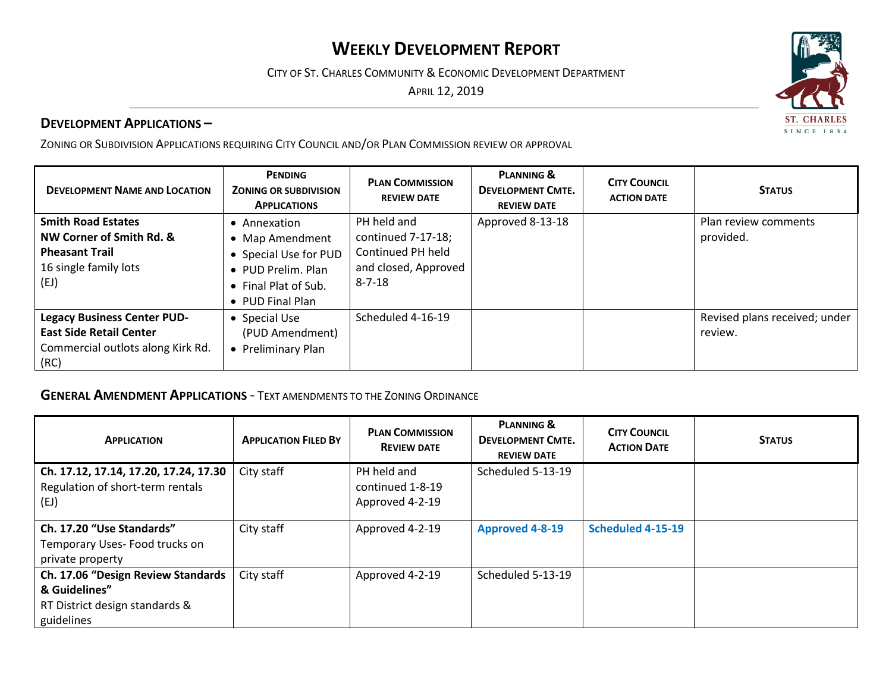# **WEEKLY DEVELOPMENT REPORT**

CITY OF ST. CHARLES COMMUNITY & ECONOMIC DEVELOPMENT DEPARTMENT

APRIL 12, 2019

#### **DEVELOPMENT APPLICATIONS –**

ZONING OR SUBDIVISION APPLICATIONS REQUIRING CITY COUNCIL AND/OR PLAN COMMISSION REVIEW OR APPROVAL

| <b>DEVELOPMENT NAME AND LOCATION</b>                                                                              | <b>PENDING</b><br><b>ZONING OR SUBDIVISION</b><br><b>APPLICATIONS</b>                                                               | <b>PLAN COMMISSION</b><br><b>REVIEW DATE</b>                                                   | <b>PLANNING &amp;</b><br><b>DEVELOPMENT CMTE.</b><br><b>REVIEW DATE</b> | <b>CITY COUNCIL</b><br><b>ACTION DATE</b> | <b>STATUS</b>                            |
|-------------------------------------------------------------------------------------------------------------------|-------------------------------------------------------------------------------------------------------------------------------------|------------------------------------------------------------------------------------------------|-------------------------------------------------------------------------|-------------------------------------------|------------------------------------------|
| <b>Smith Road Estates</b><br>NW Corner of Smith Rd. &<br><b>Pheasant Trail</b><br>16 single family lots<br>(EJ)   | Annexation<br>Map Amendment<br>$\bullet$<br>• Special Use for PUD<br>• PUD Prelim. Plan<br>• Final Plat of Sub.<br>• PUD Final Plan | PH held and<br>continued 7-17-18;<br>Continued PH held<br>and closed, Approved<br>$8 - 7 - 18$ | Approved 8-13-18                                                        |                                           | Plan review comments<br>provided.        |
| <b>Legacy Business Center PUD-</b><br><b>East Side Retail Center</b><br>Commercial outlots along Kirk Rd.<br>(RC) | • Special Use<br>(PUD Amendment)<br>Preliminary Plan                                                                                | Scheduled 4-16-19                                                                              |                                                                         |                                           | Revised plans received; under<br>review. |

### **GENERAL AMENDMENT APPLICATIONS** - TEXT AMENDMENTS TO THE ZONING ORDINANCE

| <b>APPLICATION</b>                    | <b>APPLICATION FILED BY</b> | <b>PLAN COMMISSION</b><br><b>REVIEW DATE</b> | <b>PLANNING &amp;</b><br><b>DEVELOPMENT CMTE.</b><br><b>REVIEW DATE</b> | <b>CITY COUNCIL</b><br><b>ACTION DATE</b> | <b>STATUS</b> |
|---------------------------------------|-----------------------------|----------------------------------------------|-------------------------------------------------------------------------|-------------------------------------------|---------------|
| Ch. 17.12, 17.14, 17.20, 17.24, 17.30 | City staff                  | PH held and                                  | Scheduled 5-13-19                                                       |                                           |               |
| Regulation of short-term rentals      |                             | continued 1-8-19                             |                                                                         |                                           |               |
| (EJ)                                  |                             | Approved 4-2-19                              |                                                                         |                                           |               |
| Ch. 17.20 "Use Standards"             | City staff                  | Approved 4-2-19                              | <b>Approved 4-8-19</b>                                                  | Scheduled 4-15-19                         |               |
| Temporary Uses-Food trucks on         |                             |                                              |                                                                         |                                           |               |
| private property                      |                             |                                              |                                                                         |                                           |               |
| Ch. 17.06 "Design Review Standards    | City staff                  | Approved 4-2-19                              | Scheduled 5-13-19                                                       |                                           |               |
| & Guidelines"                         |                             |                                              |                                                                         |                                           |               |
| RT District design standards &        |                             |                                              |                                                                         |                                           |               |
| guidelines                            |                             |                                              |                                                                         |                                           |               |

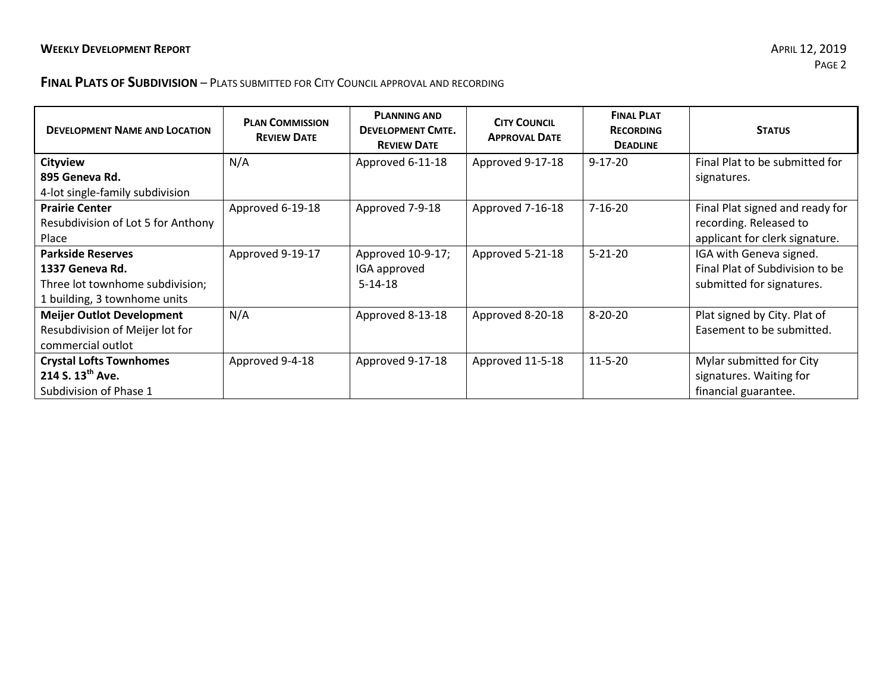## **FINAL PLATS OF SUBDIVISION** – PLATS SUBMITTED FOR CITY COUNCIL APPROVAL AND RECORDING

| <b>DEVELOPMENT NAME AND LOCATION</b> | <b>PLAN COMMISSION</b><br><b>REVIEW DATE</b> | <b>PLANNING AND</b><br><b>DEVELOPMENT CMTE.</b><br><b>REVIEW DATE</b> | <b>CITY COUNCIL</b><br><b>APPROVAL DATE</b> | <b>FINAL PLAT</b><br><b>RECORDING</b><br><b>DEADLINE</b> | <b>STATUS</b>                   |
|--------------------------------------|----------------------------------------------|-----------------------------------------------------------------------|---------------------------------------------|----------------------------------------------------------|---------------------------------|
| <b>Cityview</b>                      | N/A                                          | Approved 6-11-18                                                      | Approved 9-17-18                            | $9 - 17 - 20$                                            | Final Plat to be submitted for  |
| 895 Geneva Rd.                       |                                              |                                                                       |                                             |                                                          | signatures.                     |
| 4-lot single-family subdivision      |                                              |                                                                       |                                             |                                                          |                                 |
| <b>Prairie Center</b>                | Approved 6-19-18                             | Approved 7-9-18                                                       | Approved 7-16-18                            | $7 - 16 - 20$                                            | Final Plat signed and ready for |
| Resubdivision of Lot 5 for Anthony   |                                              |                                                                       |                                             |                                                          | recording. Released to          |
| Place                                |                                              |                                                                       |                                             |                                                          | applicant for clerk signature.  |
| <b>Parkside Reserves</b>             | Approved 9-19-17                             | Approved 10-9-17;                                                     | Approved 5-21-18                            | $5 - 21 - 20$                                            | IGA with Geneva signed.         |
| 1337 Geneva Rd.                      |                                              | IGA approved                                                          |                                             |                                                          | Final Plat of Subdivision to be |
| Three lot townhome subdivision;      |                                              | $5 - 14 - 18$                                                         |                                             |                                                          | submitted for signatures.       |
| 1 building, 3 townhome units         |                                              |                                                                       |                                             |                                                          |                                 |
| <b>Meijer Outlot Development</b>     | N/A                                          | Approved 8-13-18                                                      | Approved 8-20-18                            | $8 - 20 - 20$                                            | Plat signed by City. Plat of    |
| Resubdivision of Meijer lot for      |                                              |                                                                       |                                             |                                                          | Easement to be submitted.       |
| commercial outlot                    |                                              |                                                                       |                                             |                                                          |                                 |
| <b>Crystal Lofts Townhomes</b>       | Approved 9-4-18                              | Approved 9-17-18                                                      | Approved 11-5-18                            | $11 - 5 - 20$                                            | Mylar submitted for City        |
| 214 S. $13^{th}$ Ave.                |                                              |                                                                       |                                             |                                                          | signatures. Waiting for         |
| Subdivision of Phase 1               |                                              |                                                                       |                                             |                                                          | financial guarantee.            |